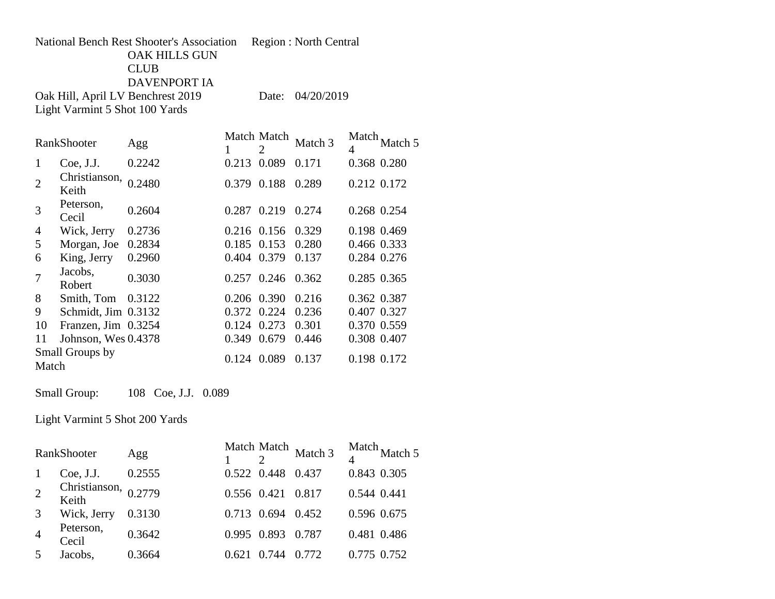## National Bench Rest Shooter's Association Region : North Central OAK HILLS GUN CLUB DAVENPORT IA Oak Hill, April LV Benchrest 2019 Date: 04/20/2019

Light Varmint 5 Shot 100 Yards

|                | RankShooter                   | Agg    |       | Match Match<br>2 | Match 3 | Match.<br>4 | Match 5     |
|----------------|-------------------------------|--------|-------|------------------|---------|-------------|-------------|
| 1              | Coe, J.J.                     | 0.2242 | 0.213 | 0.089            | 0.171   |             | 0.368 0.280 |
| $\overline{2}$ | Christianson, 0.2480<br>Keith |        | 0.379 | 0.188            | 0.289   |             | 0.212 0.172 |
| 3              | Peterson,<br>Cecil            | 0.2604 | 0.287 | 0.219            | 0.274   |             | 0.268 0.254 |
| 4              | Wick, Jerry                   | 0.2736 | 0.216 | 0.156            | 0.329   |             | 0.198 0.469 |
| 5              | Morgan, Joe                   | 0.2834 | 0.185 | 0.153            | 0.280   |             | 0.466 0.333 |
| 6              | King, Jerry                   | 0.2960 | 0.404 | 0.379            | 0.137   |             | 0.284 0.276 |
| 7              | Jacobs,<br>Robert             | 0.3030 | 0.257 | 0.246            | 0.362   |             | 0.285 0.365 |
| 8              | Smith, Tom                    | 0.3122 | 0.206 | 0.390            | 0.216   |             | 0.362 0.387 |
| 9              | Schmidt, Jim 0.3132           |        | 0.372 | 0.224            | 0.236   |             | 0.407 0.327 |
| 10             | Franzen, Jim 0.3254           |        | 0.124 | 0.273            | 0.301   |             | 0.370 0.559 |
| 11             | Johnson, Wes 0.4378           |        | 0.349 | 0.679            | 0.446   |             | 0.308 0.407 |
| Match          | Small Groups by               |        | 0.124 | 0.089            | 0.137   |             | 0.198 0.172 |

Small Group: 108 Coe, J.J. 0.089

Light Varmint 5 Shot 200 Yards

| RankShooter    |                                 | Agg    |             |                   | Match Match<br>Match 3 |             | Match Match 5 |
|----------------|---------------------------------|--------|-------------|-------------------|------------------------|-------------|---------------|
| $\mathbf{1}$   | Coe, J.J.                       | 0.2555 | 0.522 0.448 |                   | 0.437                  |             | 0.843 0.305   |
| $\overline{2}$ | Christianson, $0.2779$<br>Keith |        |             | 0.556 0.421 0.817 |                        | 0.544 0.441 |               |
| 3              | Wick, Jerry                     | 0.3130 | 0.713 0.694 |                   | 0.452                  |             | 0.596 0.675   |
| $\overline{4}$ | Peterson,<br>Cecil              | 0.3642 | 0.995 0.893 |                   | 0.787                  |             | 0.481 0.486   |
| 5              | Jacobs,                         | 0.3664 |             | 0.744             | 0.772                  | 0.775 0.752 |               |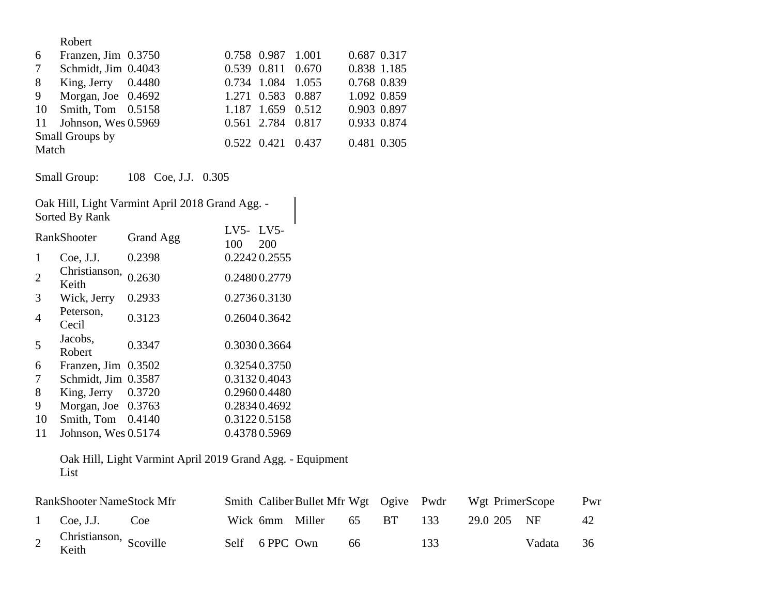|       | Robert                 |                         |             |  |
|-------|------------------------|-------------------------|-------------|--|
| 6     | Franzen, Jim 0.3750    | 0.758 0.987 1.001       | 0.687 0.317 |  |
| 7     | Schmidt, Jim 0.4043    | 0.539 0.811 0.670       | 0.838 1.185 |  |
| 8     | King, Jerry $0.4480$   | 0.734 1.084 1.055       | 0.768 0.839 |  |
| 9     | Morgan, Joe $0.4692$   | 1.271 0.583 0.887       | 1.092 0.859 |  |
|       | 10 Smith, Tom 0.5158   | 1.187 1.659 0.512       | 0.903 0.897 |  |
|       | 11 Johnson, Wes 0.5969 | 0.561 2.784 0.817       | 0.933 0.874 |  |
| Match | Small Groups by        | $0.522$ $0.421$ $0.437$ | 0.481 0.305 |  |

Small Group: 108 Coe, J.J. 0.305

| Oak Hill, Light Varmint April 2018 Grand Agg. -<br>Sorted By Rank |                        |           |               |               |  |  |  |
|-------------------------------------------------------------------|------------------------|-----------|---------------|---------------|--|--|--|
| RankShooter                                                       |                        | Grand Agg | $LV5-$<br>100 | $LV5-$<br>200 |  |  |  |
| 1                                                                 | Coe, J.J.              | 0.2398    |               | 0.22420.2555  |  |  |  |
| $\overline{2}$                                                    | Christianson,<br>Keith | 0.2630    |               | 0.24800.2779  |  |  |  |
| 3                                                                 | Wick, Jerry            | 0.2933    |               | 0.27360.3130  |  |  |  |
| 4                                                                 | Peterson,<br>Cecil     | 0.3123    |               | 0.2604 0.3642 |  |  |  |
| 5                                                                 | Jacobs,<br>Robert      | 0.3347    |               | 0.30300.3664  |  |  |  |
| 6                                                                 | Franzen, Jim           | 0.3502    |               | 0.32540.3750  |  |  |  |
| 7                                                                 | Schmidt, Jim 0.3587    |           |               | 0.31320.4043  |  |  |  |
| 8                                                                 | King, Jerry            | 0.3720    |               | 0.29600.4480  |  |  |  |
| 9                                                                 | Morgan, Joe 0.3763     |           |               | 0.28340.4692  |  |  |  |
| 10                                                                | Smith, Tom             | 0.4140    |               | 0.31220.5158  |  |  |  |
| 11                                                                | Johnson, Wes 0.5174    |           |               | 0.43780.5969  |  |  |  |

Oak Hill, Light Varmint April 2019 Grand Agg. - Equipment List

| <b>RankShooter NameStock Mfr</b> |                          |  | Smith Caliber Bullet Mfr Wgt Ogive Pwdr |                           |    | Wgt PrimerScope |             | Pwr    |    |
|----------------------------------|--------------------------|--|-----------------------------------------|---------------------------|----|-----------------|-------------|--------|----|
|                                  | 1 Coe, J.J. Coe          |  |                                         | Wick 6mm Miller 65 BT 133 |    |                 | 29.0 205 NF |        | 42 |
|                                  | 2 Christianson, Scoville |  | Self 6 PPC Own                          |                           | 66 | 133             |             | Vadata | 36 |